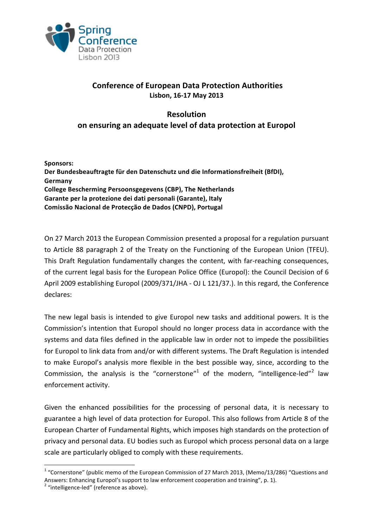

## **Conference of European Data Protection Authorities Lisbon, 16-17 May 2013**

## **Resolution on ensuring an adequate level of data protection at Europol**

**Sponsors:** Der Bundesbeauftragte für den Datenschutz und die Informationsfreiheit (BfDI), **Germany College Bescherming Persoonsgegevens (CBP), The Netherlands** Garante per la protezione dei dati personali (Garante), Italy **Comissão Nacional de Protecção de Dados (CNPD), Portugal**

On 27 March 2013 the European Commission presented a proposal for a regulation pursuant to Article 88 paragraph 2 of the Treaty on the Functioning of the European Union (TFEU). This Draft Regulation fundamentally changes the content, with far-reaching consequences, of the current legal basis for the European Police Office (Europol): the Council Decision of 6 April 2009 establishing Europol (2009/371/JHA - OJ L 121/37.). In this regard, the Conference declares:

The new legal basis is intended to give Europol new tasks and additional powers. It is the Commission's intention that Europol should no longer process data in accordance with the systems and data files defined in the applicable law in order not to impede the possibilities for Europol to link data from and/or with different systems. The Draft Regulation is intended to make Europol's analysis more flexible in the best possible way, since, according to the Commission, the analysis is the "cornerstone"<sup>1</sup> of the modern, "intelligence-led"<sup>2</sup> law enforcement activity.

Given the enhanced possibilities for the processing of personal data, it is necessary to guarantee a high level of data protection for Europol. This also follows from Article 8 of the European Charter of Fundamental Rights, which imposes high standards on the protection of privacy and personal data. EU bodies such as Europol which process personal data on a large scale are particularly obliged to comply with these requirements.

 $1$  "Cornerstone" (public memo of the European Commission of 27 March 2013, (Memo/13/286) "Questions and Answers: Enhancing Europol's support to law enforcement cooperation and training", p. 1).  $2$  "intelligence-led" (reference as above).